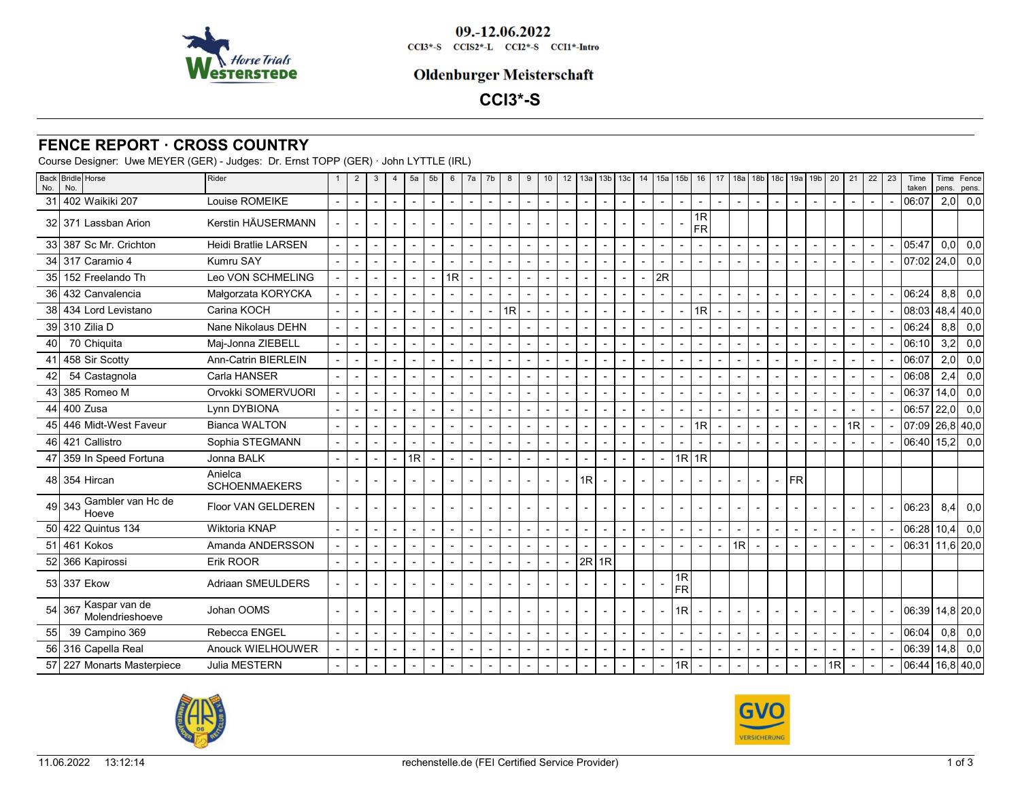

09.-12.06.2022 CCI3\*-S CCIS2\*-L CCI2\*-S CCI1\*-Intro

#### **Oldenburger Meisterschaft**

# **CCI3\*-S**

## **FENCE REPORT · CROSS COUNTRY**

Course Designer: Uwe MEYER (GER) - Judges: Dr. Ernst TOPP (GER) · John LYTTLE (IRL)

| No.  | Back Bridle Horse<br>No.                   | Rider                           |                | $\overline{2}$           | 3                        | $\overline{4}$           | 5a                       | 5 <sub>b</sub>           | 6                        | 7a                       | 7b                       | 8                        | 9                        | 10                       | 12                       | 13a            | 13 <sub>b</sub>          | 13c                      | 14                       | 15a                      | 15b            | 16                       | 17             | 18a                      |                |                | 18b   18c   19a   19b |                | 20 | 21             | 22 | 23 | Time<br>taken                             | pens. | Time   Fence  <br>pens. |
|------|--------------------------------------------|---------------------------------|----------------|--------------------------|--------------------------|--------------------------|--------------------------|--------------------------|--------------------------|--------------------------|--------------------------|--------------------------|--------------------------|--------------------------|--------------------------|----------------|--------------------------|--------------------------|--------------------------|--------------------------|----------------|--------------------------|----------------|--------------------------|----------------|----------------|-----------------------|----------------|----|----------------|----|----|-------------------------------------------|-------|-------------------------|
| 31   | 402 Waikiki 207                            | Louise ROMEIKE                  |                | $\overline{\phantom{a}}$ | $\overline{\phantom{a}}$ | $\overline{\phantom{a}}$ | $\overline{\phantom{a}}$ | $\overline{\phantom{a}}$ | $\overline{\phantom{a}}$ | $\sim$                   | $\overline{\phantom{a}}$ | $\overline{\phantom{a}}$ | $\sim$                   | $\overline{\phantom{a}}$ |                          |                |                          | $\blacksquare$           | $\overline{\phantom{a}}$ |                          |                | $\sim$                   |                | $\overline{\phantom{a}}$ |                |                |                       |                |    |                |    |    | 06:07                                     |       | $2,0$ 0,0               |
|      | 32 371 Lassban Arion                       | Kerstin HÄUSERMANN              |                | $\sim$                   | $\overline{a}$           |                          |                          |                          |                          | $\overline{\phantom{a}}$ |                          | $\overline{\phantom{a}}$ | $\sim$                   | $\sim$                   |                          |                |                          |                          |                          |                          |                | 1R<br><b>FR</b>          |                |                          |                |                |                       |                |    |                |    |    |                                           |       |                         |
|      | 33 387 Sc Mr. Crichton                     | <b>Heidi Bratlie LARSEN</b>     |                |                          |                          |                          |                          |                          |                          |                          |                          | $\overline{\phantom{a}}$ |                          |                          |                          |                |                          |                          |                          |                          |                |                          |                |                          |                |                |                       |                |    |                |    |    | 05:47                                     |       | $0,0$ 0,0               |
|      | 34 317 Caramio 4                           | Kumru SAY                       |                |                          |                          |                          |                          |                          |                          |                          |                          |                          |                          |                          |                          |                |                          |                          |                          |                          |                |                          |                |                          |                |                |                       |                |    |                |    |    | 07:02 24,0                                |       | 0,0                     |
|      | 35 152 Freelando Th                        | Leo VON SCHMELING               |                | $\sim$                   |                          |                          |                          | $\blacksquare$           | 1R                       |                          |                          |                          |                          |                          |                          |                |                          |                          |                          | 2R                       |                |                          |                |                          |                |                |                       |                |    |                |    |    |                                           |       |                         |
|      | 36 432 Canvalencia                         | Małgorzata KORYCKA              |                |                          |                          |                          |                          |                          |                          |                          |                          |                          |                          |                          |                          |                |                          |                          |                          |                          |                |                          |                |                          |                |                |                       |                |    |                |    |    | 06:24                                     | 8,8   | 0,0                     |
|      | 38 434 Lord Levistano                      | Carina KOCH                     |                |                          |                          |                          |                          |                          |                          |                          |                          | 1R                       |                          |                          |                          |                |                          |                          |                          |                          |                | 1R                       |                |                          |                |                |                       |                |    |                |    |    | 08:03                                     |       | 48,4 40,0               |
|      | 39 310 Zilia D                             | Nane Nikolaus DEHN              |                | $\overline{a}$           |                          |                          |                          |                          |                          |                          |                          |                          |                          |                          |                          |                |                          |                          |                          |                          |                |                          |                |                          |                |                |                       |                |    |                |    |    | 06:24                                     | 8,8   | 0,0                     |
| 40 l | 70 Chiquita                                | Maj-Jonna ZIEBELL               |                |                          |                          |                          |                          |                          |                          |                          |                          |                          |                          |                          |                          |                |                          |                          |                          |                          |                | $\overline{\phantom{a}}$ |                |                          |                |                |                       |                |    |                |    |    | 06:10                                     | 3,2   | 0,0                     |
|      | 41 458 Sir Scotty                          | <b>Ann-Catrin BIERLEIN</b>      |                | $\blacksquare$           |                          |                          |                          |                          |                          |                          |                          |                          |                          |                          |                          |                |                          |                          |                          |                          |                |                          |                |                          |                |                |                       |                |    |                |    |    | 06:07                                     | 2,0   | 0,0                     |
| 42   | 54 Castagnola                              | Carla HANSER                    |                |                          |                          |                          |                          |                          |                          | $\overline{\phantom{a}}$ |                          |                          |                          |                          |                          |                |                          |                          |                          |                          |                |                          |                |                          |                |                |                       |                |    |                |    |    | 06:08                                     | 2.4   | 0,0                     |
|      | 43 385 Romeo M                             | Orvokki SOMERVUORI              |                |                          |                          |                          |                          |                          |                          |                          |                          |                          |                          |                          |                          |                |                          |                          |                          |                          |                | $\overline{\phantom{a}}$ |                |                          |                |                |                       |                |    |                |    |    | 06:37                                     | 14,0  | 0,0                     |
|      | 44 400 Zusa                                | Lynn DYBIONA                    |                |                          |                          |                          |                          |                          |                          |                          |                          |                          |                          |                          |                          |                |                          |                          |                          |                          |                |                          |                |                          |                |                |                       |                |    |                |    |    | 06:57                                     | 22,0  | 0,0                     |
|      | 45 446 Midt-West Faveur                    | <b>Bianca WALTON</b>            |                |                          |                          |                          |                          |                          |                          |                          |                          |                          |                          |                          |                          |                |                          |                          |                          |                          |                | 1R                       |                |                          |                |                |                       |                |    | 1R             |    |    | $07.09$ 26,8 40,0                         |       |                         |
|      | 46 421 Callistro                           | Sophia STEGMANN                 |                |                          |                          |                          |                          |                          |                          |                          |                          |                          |                          |                          |                          |                |                          |                          |                          |                          |                |                          |                |                          |                |                |                       |                |    |                |    |    | 06:40 15,2                                |       | 0,0                     |
|      | 47 359 In Speed Fortuna                    | Jonna BALK                      | $\overline{a}$ | $\blacksquare$           |                          |                          | 1R                       |                          |                          |                          |                          |                          |                          |                          |                          |                |                          |                          |                          |                          | $1R$ 1R        |                          |                |                          |                |                |                       |                |    |                |    |    |                                           |       |                         |
|      | 48 354 Hircan                              | Anielca<br><b>SCHOENMAEKERS</b> |                |                          |                          |                          |                          |                          |                          |                          |                          |                          |                          | $\overline{\phantom{a}}$ | $\sim$                   | 1R             |                          |                          |                          |                          |                |                          |                |                          |                |                | FR                    |                |    |                |    |    |                                           |       |                         |
|      | 49 343 Gambler van Hc de                   | Floor VAN GELDEREN              |                |                          |                          |                          |                          |                          |                          |                          |                          |                          | $\overline{\phantom{a}}$ |                          |                          |                |                          |                          |                          |                          |                |                          |                |                          |                |                |                       |                |    |                |    |    | 06:23                                     | 8,4   | 0,0                     |
|      | 50 422 Quintus 134                         | Wiktoria KNAP                   |                | $\overline{a}$           |                          |                          |                          |                          |                          |                          |                          |                          |                          |                          |                          |                |                          |                          |                          |                          |                |                          |                |                          |                |                |                       |                |    |                |    |    | 06:28                                     | 10,4  | 0,0                     |
|      | 51 461 Kokos                               | Amanda ANDERSSON                |                |                          |                          |                          |                          |                          |                          |                          |                          |                          |                          |                          |                          |                |                          |                          |                          |                          |                |                          |                | 1R                       |                |                |                       |                |    |                |    |    | 06:31 11,6 20,0                           |       |                         |
|      | 52 366 Kapirossi                           | Erik ROOR                       |                | $\blacksquare$           |                          |                          |                          |                          |                          |                          |                          | $\overline{\phantom{a}}$ |                          | $\overline{\phantom{a}}$ | $\overline{\phantom{a}}$ | $2R$ 1R        |                          |                          |                          |                          |                |                          |                |                          |                |                |                       |                |    |                |    |    |                                           |       |                         |
|      | 53 337 Ekow                                | Adriaan SMEULDERS               |                |                          |                          |                          |                          |                          |                          |                          |                          |                          |                          |                          |                          |                |                          |                          |                          |                          | 1R<br>FR       |                          |                |                          |                |                |                       |                |    |                |    |    |                                           |       |                         |
|      | Kaspar van de<br>54 367<br>Molendrieshoeve | Johan OOMS                      |                |                          |                          |                          |                          |                          |                          |                          |                          |                          |                          |                          |                          |                |                          |                          |                          |                          | 1R             |                          |                |                          |                |                |                       |                |    |                |    |    | $\vert 06:39 \vert 14,8 \vert 20,0 \vert$ |       |                         |
| 55   | 39 Campino 369                             | Rebecca ENGEL                   | $\blacksquare$ | $\overline{\phantom{a}}$ | $\overline{\phantom{a}}$ | $\overline{\phantom{a}}$ | $\overline{\phantom{a}}$ | $\sim$                   | $\overline{\phantom{0}}$ | $\blacksquare$           | $\overline{\phantom{0}}$ | $\overline{\phantom{a}}$ | $\overline{\phantom{a}}$ | $\overline{\phantom{a}}$ | $\overline{\phantom{a}}$ | $\blacksquare$ | $\overline{\phantom{a}}$ | $\overline{\phantom{a}}$ | $\overline{a}$           | $\overline{\phantom{a}}$ | $\overline{a}$ | $\overline{\phantom{a}}$ | $\blacksquare$ | $\overline{\phantom{a}}$ | $\blacksquare$ | $\blacksquare$ | $\overline{a}$        | $\overline{a}$ |    | $\overline{a}$ |    |    | 06:04                                     | 0,8   | 0,0                     |
|      | 56 316 Capella Real                        | Anouck WIELHOUWER               |                |                          |                          |                          |                          |                          |                          |                          |                          |                          |                          |                          |                          |                |                          |                          |                          |                          |                |                          |                |                          |                |                |                       |                |    |                |    |    | 06:39 14,8 0,0                            |       |                         |
|      | 57 227 Monarts Masterpiece                 | Julia MESTERN                   |                |                          |                          |                          |                          |                          |                          |                          |                          | $\overline{\phantom{a}}$ | $\sim$                   | $\overline{\phantom{a}}$ |                          |                |                          | $\sim$                   |                          | $\overline{\phantom{a}}$ | 1R             | $\sim$                   |                | $\overline{\phantom{a}}$ |                |                |                       |                | 1R |                |    |    | 06:44 16,8 40,0                           |       |                         |



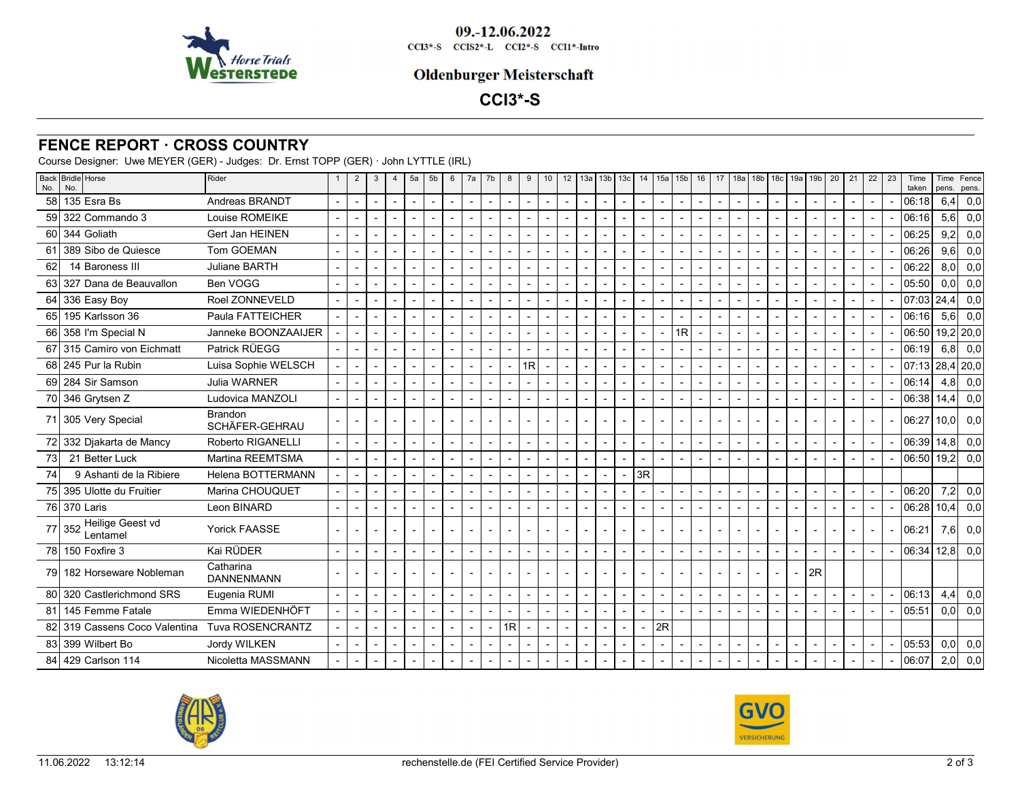

#### **Oldenburger Meisterschaft**

# **CCI3\*-S**

### **FENCE REPORT · CROSS COUNTRY**

Course Designer: Uwe MEYER (GER) - Judges: Dr. Ernst TOPP (GER) · John LYTTLE (IRL)

| No. | Back Bridle Horse<br>No.   | Rider                            | $\overline{2}$           | 3                        | $\overline{4}$           | 5a                       | 5 <sub>b</sub>           | 6              | 7a                       | 7b             | 8              | 9              | 10             | 12 |  | $13a$ 13b 13c  | 14              | 15a            | 15 <sub>b</sub> | 16             | 17 | 18a | $18b$   $18c$ |        | 19a   19b      | 20                       | 21                       | 22             | 23 | Time<br>taken     |     | Time   Fence<br>pens. pens. |
|-----|----------------------------|----------------------------------|--------------------------|--------------------------|--------------------------|--------------------------|--------------------------|----------------|--------------------------|----------------|----------------|----------------|----------------|----|--|----------------|-----------------|----------------|-----------------|----------------|----|-----|---------------|--------|----------------|--------------------------|--------------------------|----------------|----|-------------------|-----|-----------------------------|
| 58  | 135 Esra Bs                | Andreas BRANDT                   | $\sim$                   | $\overline{\phantom{a}}$ | $\overline{\phantom{a}}$ | $\overline{a}$           | $\overline{a}$           | $\overline{a}$ | ÷,                       | $\overline{a}$ | $\overline{a}$ | $\overline{a}$ | $\overline{a}$ |    |  | $\overline{a}$ |                 | $\overline{a}$ |                 | $\overline{a}$ |    |     |               |        |                |                          | $\overline{a}$           | $\sim$         |    | 06:18             | 6,4 | 0,0                         |
|     | 59 322 Commando 3          | Louise ROMEIKE                   |                          |                          |                          |                          |                          |                | $\blacksquare$           |                |                |                |                |    |  |                |                 |                |                 |                |    |     |               |        |                |                          |                          | $\sim$         |    | 06:16             | 5,6 | 0,0                         |
|     | 60 344 Goliath             | Gert Jan HEINEN                  |                          |                          | $\overline{\phantom{a}}$ |                          |                          |                | ÷,                       |                |                |                |                |    |  |                |                 |                |                 |                |    |     |               |        |                |                          |                          | $\sim$         |    | 06:25             | 9,2 | 0,0                         |
|     | 61 389 Sibo de Quiesce     | Tom GOEMAN                       |                          |                          |                          |                          |                          |                |                          |                |                |                |                |    |  |                |                 |                |                 |                |    |     |               |        |                |                          | $\sim$                   | $\sim$         |    | 06:26             | 9,6 | 0,0                         |
| 62  | 14 Baroness III            | Juliane BARTH                    | $\overline{\phantom{a}}$ |                          |                          |                          |                          |                | $\overline{\phantom{a}}$ |                |                |                |                |    |  |                |                 |                |                 |                |    |     |               |        |                |                          | $\overline{\phantom{a}}$ | $\sim$         |    | 06:22             | 8,0 | 0,0                         |
|     | 63 327 Dana de Beauvallon  | Ben VOGG                         |                          |                          |                          |                          |                          |                |                          |                |                |                |                |    |  |                |                 |                |                 |                |    |     |               |        |                |                          |                          | $\sim$         |    | 05:50             | 0,0 | 0.0                         |
| 64  | 336 Easy Boy               | Roel ZONNEVELD                   |                          |                          |                          |                          |                          |                |                          |                |                |                |                |    |  |                |                 |                |                 |                |    |     |               |        |                |                          |                          | $\blacksquare$ |    | $07:03$   24,4    |     | 0,0                         |
|     | 65 195 Karlsson 36         | Paula FATTEICHER                 |                          |                          |                          |                          |                          |                |                          |                |                |                |                |    |  |                |                 |                |                 |                |    |     |               |        |                |                          |                          | $\sim$         |    | 06:16             | 5,6 | 0,0                         |
|     | 66 358 I'm Special N       | Janneke BOONZAAIJER              | $\overline{a}$           |                          |                          |                          |                          |                |                          |                |                |                | $\overline{a}$ |    |  | $\overline{a}$ |                 |                | 1R              | $\overline{a}$ |    |     |               |        |                | $\overline{a}$           | $\sim$                   | $\sim$         |    | 06:50 19,2 20,0   |     |                             |
|     | 67 315 Camiro von Eichmatt | Patrick RÜEGG                    | $\overline{\phantom{a}}$ |                          |                          |                          |                          |                | $\overline{a}$           |                |                |                |                |    |  |                |                 |                |                 |                |    |     |               |        |                |                          | $\overline{a}$           | $\sim$         |    | 06:19             | 6,8 | 0,0                         |
|     | 68 245 Pur la Rubin        | Luisa Sophie WELSCH              |                          |                          |                          |                          |                          |                | $\overline{\phantom{a}}$ |                |                | 1R             |                |    |  |                |                 |                |                 |                |    |     |               |        |                |                          | $\sim$                   | $\sim$         |    | $07:13$ 28,4 20,0 |     |                             |
|     | 69 284 Sir Samson          | <b>Julia WARNER</b>              | $\overline{\phantom{a}}$ |                          |                          |                          |                          |                | $\overline{a}$           |                |                |                |                |    |  |                |                 | $\overline{a}$ |                 |                |    |     |               |        |                |                          |                          | $\sim$         |    | 06:14             |     | $4,8$ 0,0                   |
|     | 70 346 Grytsen Z           | Ludovica MANZOLI                 |                          |                          |                          |                          |                          |                | $\overline{\phantom{a}}$ |                |                |                |                |    |  |                |                 |                |                 |                |    |     |               |        |                |                          |                          | $\sim$         |    | $06:38$   14,4    |     | 0,0                         |
|     | 71 305 Very Special        | <b>Brandon</b><br>SCHÄFER-GEHRAU |                          |                          |                          |                          |                          |                | $\overline{\phantom{a}}$ |                |                |                |                |    |  |                |                 |                |                 |                |    |     |               |        |                |                          |                          |                |    | $06:27$ 10,0 0,0  |     |                             |
|     | 72 332 Djakarta de Mancy   | Roberto RIGANELLI                | $\overline{\phantom{a}}$ |                          | $\overline{\phantom{a}}$ |                          | $\overline{\phantom{a}}$ |                | $\overline{\phantom{a}}$ |                |                |                | $\overline{a}$ |    |  | $\blacksquare$ |                 | $\blacksquare$ |                 | $\blacksquare$ |    |     |               |        |                | $\overline{a}$           | $\overline{a}$           | $\sim$         |    | $06:39$ 14,8 0,0  |     |                             |
| 73  | 21 Better Luck             | Martina REEMTSMA                 |                          |                          |                          |                          |                          |                | $\overline{a}$           |                |                |                |                |    |  |                |                 |                |                 |                |    |     |               |        |                |                          |                          | $\sim$         |    | $06:50$ 19,2 0,0  |     |                             |
| 74  | 9 Ashanti de la Ribiere    | Helena BOTTERMANN                | $\overline{a}$           |                          |                          |                          |                          |                | $\overline{a}$           |                |                |                |                |    |  |                | $\overline{3R}$ |                |                 |                |    |     |               |        |                |                          |                          |                |    |                   |     |                             |
|     | 75 395 Ulotte du Fruitier  | Marina CHOUQUET                  |                          |                          |                          |                          |                          |                |                          |                |                |                |                |    |  |                |                 |                |                 |                |    |     |               | $\sim$ |                | $\overline{a}$           | $\overline{a}$           | $\sim$         |    | 06:20             |     | $7,2$ 0.0                   |
|     | 76 370 Laris               | Leon BINARD                      | $\overline{\phantom{a}}$ | $\overline{\phantom{a}}$ |                          |                          |                          |                | $\overline{a}$           |                |                |                |                |    |  |                |                 | $\blacksquare$ |                 |                |    |     |               |        |                |                          | $\overline{\phantom{a}}$ | $\sim$         |    | $06:28$ 10,4      |     | 0,0                         |
|     | 77 352 Heilige Geest vd    | <b>Yorick FAASSE</b>             |                          |                          |                          |                          |                          |                |                          |                |                |                |                |    |  |                |                 |                |                 |                |    |     |               |        |                |                          |                          | $\overline{a}$ |    | 06:21             |     | $7,6$ 0.0                   |
|     | 78 150 Foxfire 3           | Kai RÜDER                        | $\overline{\phantom{a}}$ |                          | $\overline{a}$           |                          |                          |                | $\overline{a}$           |                |                |                |                |    |  |                |                 |                |                 |                |    |     |               |        |                |                          |                          | $\sim$         |    | $06:34$ 12,8 0,0  |     |                             |
|     | 79 182 Horseware Nobleman  | Catharina<br><b>DANNENMANN</b>   |                          |                          |                          |                          |                          |                |                          |                |                |                |                |    |  |                |                 |                |                 |                |    |     |               |        | 2R             |                          |                          |                |    |                   |     |                             |
|     | 80 320 Castlerichmond SRS  | Eugenia RUMI                     | $\overline{\phantom{a}}$ | $\overline{\phantom{a}}$ | $\overline{\phantom{a}}$ | $\overline{\phantom{a}}$ | $\overline{a}$           | $\blacksquare$ | ÷,                       | $\overline{a}$ | $\overline{a}$ |                | Ĭ.             |    |  | $\blacksquare$ |                 | $\overline{a}$ |                 | $\blacksquare$ |    |     |               |        |                |                          | $\overline{\phantom{a}}$ | $\sim$         |    | 06:13             | 4,4 | 0,0                         |
|     | 81 145 Femme Fatale        | Emma WIEDENHÖFT                  | $\overline{\phantom{a}}$ |                          | $\overline{\phantom{a}}$ |                          |                          |                | $\overline{a}$           |                |                |                | $\blacksquare$ |    |  |                |                 |                |                 |                |    |     |               |        |                |                          | $\overline{a}$           | $\sim$         |    | 05:51             |     | $0,0$ 0,0                   |
|     | 319 Cassens Coco Valentina | <b>Tuva ROSENCRANTZ</b>          |                          |                          | $\overline{\phantom{a}}$ |                          |                          |                | $\overline{\phantom{a}}$ | $\overline{a}$ | 1R             |                |                |    |  |                |                 | 2R             |                 |                |    |     |               |        |                |                          |                          |                |    |                   |     |                             |
|     | 83 399 Wilbert Bo          | Jordy WILKEN                     |                          |                          |                          |                          |                          |                |                          |                |                |                |                |    |  |                |                 |                |                 |                |    |     |               |        |                | $\overline{\phantom{a}}$ | $\overline{\phantom{a}}$ | $\sim$         |    | 05:53             |     | $0,0$ 0,0                   |
|     | 84 429 Carlson 114         | Nicoletta MASSMANN               |                          |                          |                          |                          |                          |                | $\sim$                   |                |                |                |                |    |  |                |                 |                |                 |                |    |     |               |        | $\blacksquare$ |                          | $\sim$                   |                |    | 06:07             |     | $2,0$ 0,0                   |